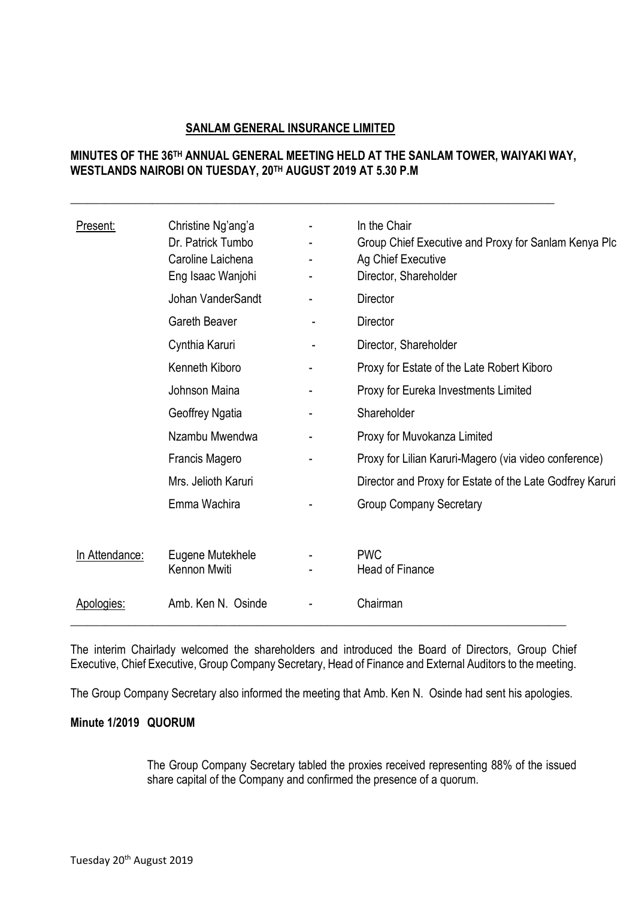# **SANLAM GENERAL INSURANCE LIMITED**

# **MINUTES OF THE 36 TH ANNUAL GENERAL MEETING HELD AT THE SANLAM TOWER, WAIYAKI WAY, WESTLANDS NAIROBI ON TUESDAY, 20TH AUGUST 2019 AT 5.30 P.M**

**\_\_\_\_\_\_\_\_\_\_\_\_\_\_\_\_\_\_\_\_\_\_\_\_\_\_\_\_\_\_\_\_\_\_\_\_\_\_\_\_\_\_\_\_\_\_\_\_\_\_\_\_\_\_\_\_\_\_\_\_\_\_\_\_\_\_\_\_\_\_\_\_\_\_\_\_\_\_\_\_\_\_\_**

| Present:       | Christine Ng'ang'a<br>Dr. Patrick Tumbo<br>Caroline Laichena<br>Eng Isaac Wanjohi |   | In the Chair<br>Group Chief Executive and Proxy for Sanlam Kenya Plc<br>Ag Chief Executive<br>Director, Shareholder |
|----------------|-----------------------------------------------------------------------------------|---|---------------------------------------------------------------------------------------------------------------------|
|                | Johan VanderSandt                                                                 |   | <b>Director</b>                                                                                                     |
|                | <b>Gareth Beaver</b>                                                              |   | <b>Director</b>                                                                                                     |
|                | Cynthia Karuri                                                                    |   | Director, Shareholder                                                                                               |
|                | Kenneth Kiboro                                                                    |   | Proxy for Estate of the Late Robert Kiboro                                                                          |
|                | Johnson Maina                                                                     |   | Proxy for Eureka Investments Limited                                                                                |
|                | Geoffrey Ngatia                                                                   | - | Shareholder                                                                                                         |
|                | Nzambu Mwendwa                                                                    |   | Proxy for Muvokanza Limited                                                                                         |
|                | Francis Magero                                                                    |   | Proxy for Lilian Karuri-Magero (via video conference)                                                               |
|                | Mrs. Jelioth Karuri                                                               |   | Director and Proxy for Estate of the Late Godfrey Karuri                                                            |
|                | Emma Wachira                                                                      |   | <b>Group Company Secretary</b>                                                                                      |
| In Attendance: | Eugene Mutekhele<br>Kennon Mwiti                                                  |   | <b>PWC</b><br><b>Head of Finance</b>                                                                                |
| Apologies:     | Amb. Ken N. Osinde                                                                |   | Chairman                                                                                                            |

The interim Chairlady welcomed the shareholders and introduced the Board of Directors, Group Chief Executive, Chief Executive, Group Company Secretary, Head of Finance and External Auditors to the meeting.

The Group Company Secretary also informed the meeting that Amb. Ken N. Osinde had sent his apologies.

## **Minute 1/2019 QUORUM**

The Group Company Secretary tabled the proxies received representing 88% of the issued share capital of the Company and confirmed the presence of a quorum.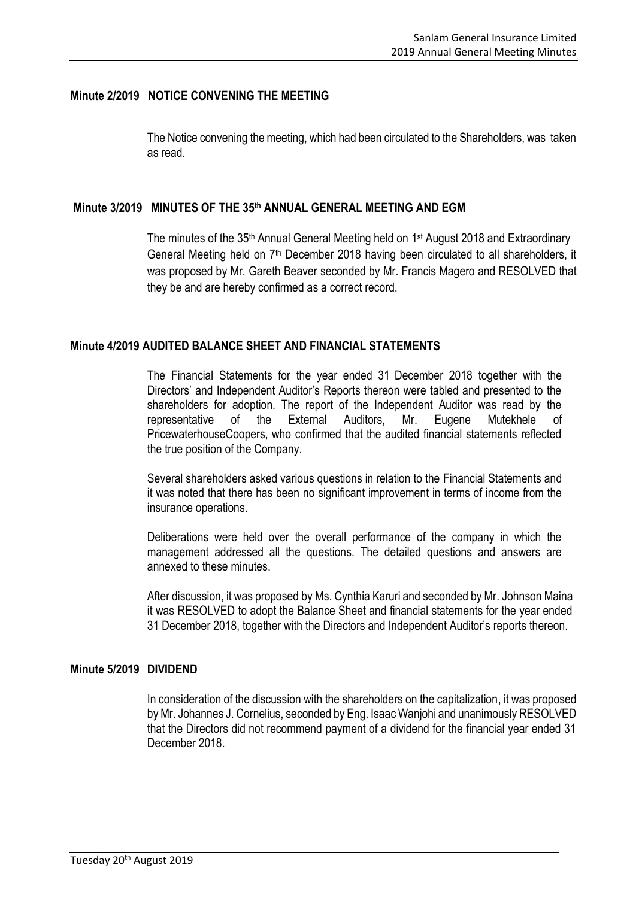### **Minute 2/2019 NOTICE CONVENING THE MEETING**

The Notice convening the meeting, which had been circulated to the Shareholders, was taken as read.

### **Minute 3/2019 MINUTES OF THE 35 th ANNUAL GENERAL MEETING AND EGM**

The minutes of the 35<sup>th</sup> Annual General Meeting held on 1<sup>st</sup> August 2018 and Extraordinary General Meeting held on 7<sup>th</sup> December 2018 having been circulated to all shareholders, it was proposed by Mr. Gareth Beaver seconded by Mr. Francis Magero and RESOLVED that they be and are hereby confirmed as a correct record.

### **Minute 4/2019 AUDITED BALANCE SHEET AND FINANCIAL STATEMENTS**

The Financial Statements for the year ended 31 December 2018 together with the Directors' and Independent Auditor's Reports thereon were tabled and presented to the shareholders for adoption. The report of the Independent Auditor was read by the representative of the External Auditors, Mr. Eugene Mutekhele of PricewaterhouseCoopers, who confirmed that the audited financial statements reflected the true position of the Company.

Several shareholders asked various questions in relation to the Financial Statements and it was noted that there has been no significant improvement in terms of income from the insurance operations.

Deliberations were held over the overall performance of the company in which the management addressed all the questions. The detailed questions and answers are annexed to these minutes.

After discussion, it was proposed by Ms. Cynthia Karuri and seconded by Mr. Johnson Maina it was RESOLVED to adopt the Balance Sheet and financial statements for the year ended 31 December 2018, together with the Directors and Independent Auditor's reports thereon.

#### **Minute 5/2019 DIVIDEND**

In consideration of the discussion with the shareholders on the capitalization, it was proposed by Mr. Johannes J. Cornelius, seconded by Eng. Isaac Wanjohi and unanimously RESOLVED that the Directors did not recommend payment of a dividend for the financial year ended 31 December 2018.